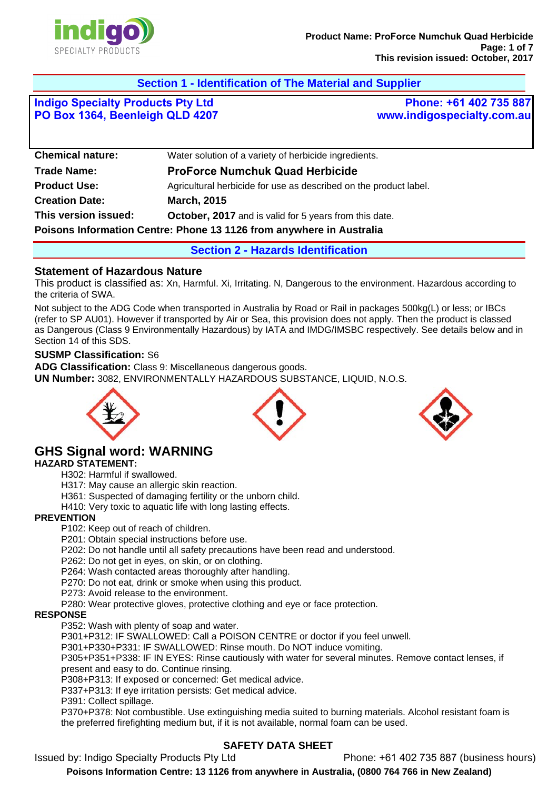

# **Section 1 - Identification of The Material and Supplier**

**Indigo Specialty Products Pty Ltd PO Box 1364, Beenleigh QLD 4207**

**Phone: +61 402 735 887 www.indigospecialty.com.au**

| <b>Chemical nature:</b>                                              | Water solution of a variety of herbicide ingredients.             |
|----------------------------------------------------------------------|-------------------------------------------------------------------|
| <b>Trade Name:</b>                                                   | <b>ProForce Numchuk Quad Herbicide</b>                            |
| <b>Product Use:</b>                                                  | Agricultural herbicide for use as described on the product label. |
| <b>Creation Date:</b>                                                | <b>March, 2015</b>                                                |
| This version issued:                                                 | <b>October, 2017</b> and is valid for 5 years from this date.     |
| Poisons Information Centre: Phone 13 1126 from anywhere in Australia |                                                                   |
|                                                                      |                                                                   |

**Section 2 - Hazards Identification** 

### **Statement of Hazardous Nature**

This product is classified as: Xn, Harmful. Xi, Irritating. N, Dangerous to the environment. Hazardous according to the criteria of SWA.

Not subject to the ADG Code when transported in Australia by Road or Rail in packages 500kg(L) or less; or IBCs (refer to SP AU01). However if transported by Air or Sea, this provision does not apply. Then the product is classed as Dangerous (Class 9 Environmentally Hazardous) by IATA and IMDG/IMSBC respectively. See details below and in Section 14 of this SDS.

### **SUSMP Classification:** S6

**ADG Classification:** Class 9: Miscellaneous dangerous goods. **UN Number:** 3082, ENVIRONMENTALLY HAZARDOUS SUBSTANCE, LIQUID, N.O.S.



### **GHS Signal word: WARNING HAZARD STATEMENT:**

H302: Harmful if swallowed.

H317: May cause an allergic skin reaction.

H361: Suspected of damaging fertility or the unborn child.

H410: Very toxic to aquatic life with long lasting effects.

### **PREVENTION**

P102: Keep out of reach of children.

P201: Obtain special instructions before use.

P202: Do not handle until all safety precautions have been read and understood.

P262: Do not get in eyes, on skin, or on clothing.

P264: Wash contacted areas thoroughly after handling.

P270: Do not eat, drink or smoke when using this product.

P273: Avoid release to the environment.

P280: Wear protective gloves, protective clothing and eye or face protection.

#### **RESPONSE**

P352: Wash with plenty of soap and water.

P301+P312: IF SWALLOWED: Call a POISON CENTRE or doctor if you feel unwell.

P301+P330+P331: IF SWALLOWED: Rinse mouth. Do NOT induce vomiting.

P305+P351+P338: IF IN EYES: Rinse cautiously with water for several minutes. Remove contact lenses, if present and easy to do. Continue rinsing.

P308+P313: If exposed or concerned: Get medical advice.

P337+P313: If eye irritation persists: Get medical advice.

P391: Collect spillage.

P370+P378: Not combustible. Use extinguishing media suited to burning materials. Alcohol resistant foam is the preferred firefighting medium but, if it is not available, normal foam can be used.

# **SAFETY DATA SHEET**

Issued by: Indigo Specialty Products Pty Ltd Phone: +61 402 735 887 (business hours)

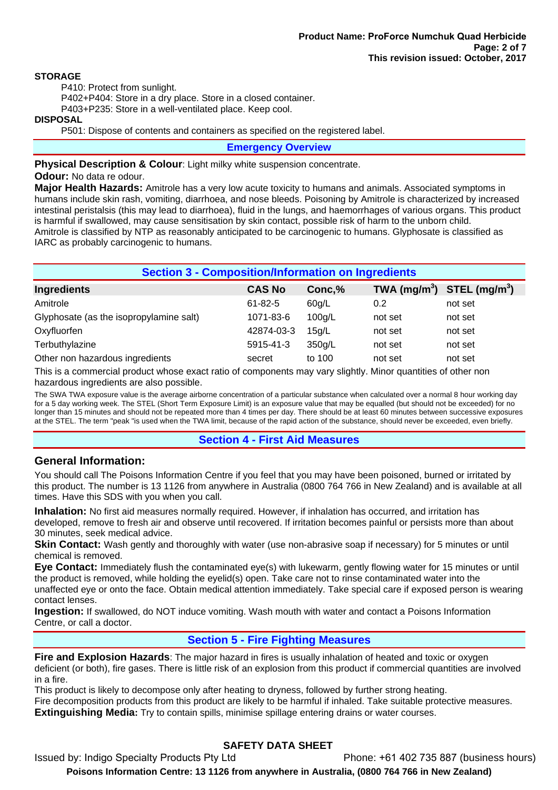### **STORAGE**

P410: Protect from sunlight.

P402+P404: Store in a dry place. Store in a closed container.

P403+P235: Store in a well-ventilated place. Keep cool.

### **DISPOSAL**

P501: Dispose of contents and containers as specified on the registered label.

**Emergency Overview** 

**Physical Description & Colour:** Light milky white suspension concentrate.

#### **Odour:** No data re odour.

**Major Health Hazards:** Amitrole has a very low acute toxicity to humans and animals. Associated symptoms in humans include skin rash, vomiting, diarrhoea, and nose bleeds. Poisoning by Amitrole is characterized by increased intestinal peristalsis (this may lead to diarrhoea), fluid in the lungs, and haemorrhages of various organs. This product is harmful if swallowed, may cause sensitisation by skin contact, possible risk of harm to the unborn child. Amitrole is classified by NTP as reasonably anticipated to be carcinogenic to humans. Glyphosate is classified as IARC as probably carcinogenic to humans.

| <b>Section 3 - Composition/Information on Ingredients</b> |               |        |                                                    |         |
|-----------------------------------------------------------|---------------|--------|----------------------------------------------------|---------|
| <b>Ingredients</b>                                        | <b>CAS No</b> | Conc,% | TWA (mg/m <sup>3</sup> ) STEL (mg/m <sup>3</sup> ) |         |
| Amitrole                                                  | $61 - 82 - 5$ | 60q/L  | 0.2                                                | not set |
| Glyphosate (as the isopropylamine salt)                   | 1071-83-6     | 100q/L | not set                                            | not set |
| Oxyfluorfen                                               | 42874-03-3    | 15q/L  | not set                                            | not set |
| Terbuthylazine                                            | 5915-41-3     | 350g/L | not set                                            | not set |
| Other non hazardous ingredients                           | secret        | to 100 | not set                                            | not set |

This is a commercial product whose exact ratio of components may vary slightly. Minor quantities of other non hazardous ingredients are also possible.

The SWA TWA exposure value is the average airborne concentration of a particular substance when calculated over a normal 8 hour working day for a 5 day working week. The STEL (Short Term Exposure Limit) is an exposure value that may be equalled (but should not be exceeded) for no longer than 15 minutes and should not be repeated more than 4 times per day. There should be at least 60 minutes between successive exposures at the STEL. The term "peak "is used when the TWA limit, because of the rapid action of the substance, should never be exceeded, even briefly.

# **Section 4 - First Aid Measures**

### **General Information:**

You should call The Poisons Information Centre if you feel that you may have been poisoned, burned or irritated by this product. The number is 13 1126 from anywhere in Australia (0800 764 766 in New Zealand) and is available at all times. Have this SDS with you when you call.

**Inhalation:** No first aid measures normally required. However, if inhalation has occurred, and irritation has developed, remove to fresh air and observe until recovered. If irritation becomes painful or persists more than about 30 minutes, seek medical advice.

**Skin Contact:** Wash gently and thoroughly with water (use non-abrasive soap if necessary) for 5 minutes or until chemical is removed.

**Eye Contact:** Immediately flush the contaminated eye(s) with lukewarm, gently flowing water for 15 minutes or until the product is removed, while holding the eyelid(s) open. Take care not to rinse contaminated water into the unaffected eye or onto the face. Obtain medical attention immediately. Take special care if exposed person is wearing contact lenses.

**Ingestion:** If swallowed, do NOT induce vomiting. Wash mouth with water and contact a Poisons Information Centre, or call a doctor.

### **Section 5 - Fire Fighting Measures**

**Fire and Explosion Hazards**: The major hazard in fires is usually inhalation of heated and toxic or oxygen deficient (or both), fire gases. There is little risk of an explosion from this product if commercial quantities are involved in a fire.

This product is likely to decompose only after heating to dryness, followed by further strong heating. Fire decomposition products from this product are likely to be harmful if inhaled. Take suitable protective measures. **Extinguishing Media:** Try to contain spills, minimise spillage entering drains or water courses.

# **SAFETY DATA SHEET**

Issued by: Indigo Specialty Products Pty Ltd Phone: +61 402 735 887 (business hours)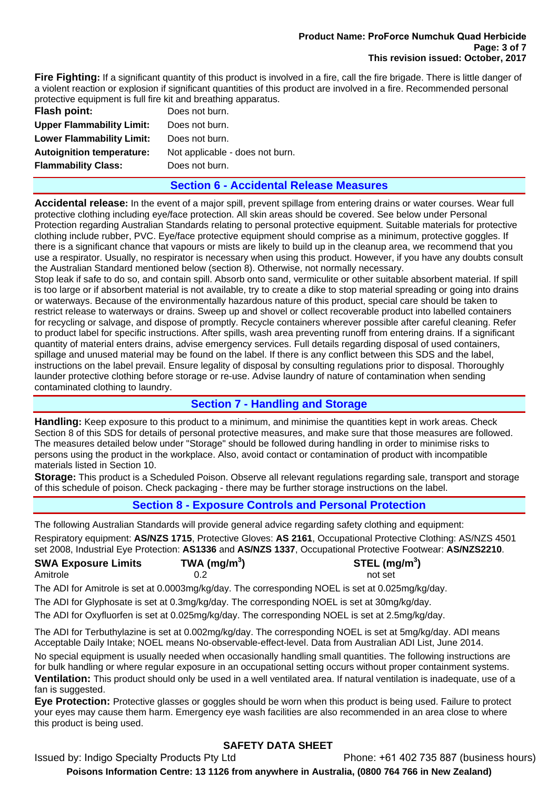#### **Product Name: ProForce Numchuk Quad Herbicide Page: 3 of 7 This revision issued: October, 2017**

**Fire Fighting:** If a significant quantity of this product is involved in a fire, call the fire brigade. There is little danger of a violent reaction or explosion if significant quantities of this product are involved in a fire. Recommended personal protective equipment is full fire kit and breathing apparatus.

| Flash point:                     | Does not burn.                  |
|----------------------------------|---------------------------------|
| <b>Upper Flammability Limit:</b> | Does not burn.                  |
| <b>Lower Flammability Limit:</b> | Does not burn.                  |
| <b>Autoignition temperature:</b> | Not applicable - does not burn. |
| <b>Flammability Class:</b>       | Does not burn.                  |
|                                  |                                 |

### **Section 6 - Accidental Release Measures**

**Accidental release:** In the event of a major spill, prevent spillage from entering drains or water courses. Wear full protective clothing including eye/face protection. All skin areas should be covered. See below under Personal Protection regarding Australian Standards relating to personal protective equipment. Suitable materials for protective clothing include rubber, PVC. Eye/face protective equipment should comprise as a minimum, protective goggles. If there is a significant chance that vapours or mists are likely to build up in the cleanup area, we recommend that you use a respirator. Usually, no respirator is necessary when using this product. However, if you have any doubts consult the Australian Standard mentioned below (section 8). Otherwise, not normally necessary.

Stop leak if safe to do so, and contain spill. Absorb onto sand, vermiculite or other suitable absorbent material. If spill is too large or if absorbent material is not available, try to create a dike to stop material spreading or going into drains or waterways. Because of the environmentally hazardous nature of this product, special care should be taken to restrict release to waterways or drains. Sweep up and shovel or collect recoverable product into labelled containers for recycling or salvage, and dispose of promptly. Recycle containers wherever possible after careful cleaning. Refer to product label for specific instructions. After spills, wash area preventing runoff from entering drains. If a significant quantity of material enters drains, advise emergency services. Full details regarding disposal of used containers, spillage and unused material may be found on the label. If there is any conflict between this SDS and the label, instructions on the label prevail. Ensure legality of disposal by consulting regulations prior to disposal. Thoroughly launder protective clothing before storage or re-use. Advise laundry of nature of contamination when sending contaminated clothing to laundry.

# **Section 7 - Handling and Storage**

**Handling:** Keep exposure to this product to a minimum, and minimise the quantities kept in work areas. Check Section 8 of this SDS for details of personal protective measures, and make sure that those measures are followed. The measures detailed below under "Storage" should be followed during handling in order to minimise risks to persons using the product in the workplace. Also, avoid contact or contamination of product with incompatible materials listed in Section 10.

**Storage:** This product is a Scheduled Poison. Observe all relevant regulations regarding sale, transport and storage of this schedule of poison. Check packaging - there may be further storage instructions on the label.

# **Section 8 - Exposure Controls and Personal Protection**

The following Australian Standards will provide general advice regarding safety clothing and equipment: Respiratory equipment: **AS/NZS 1715**, Protective Gloves: **AS 2161**, Occupational Protective Clothing: AS/NZS 4501 set 2008, Industrial Eye Protection: **AS1336** and **AS/NZS 1337**, Occupational Protective Footwear: **AS/NZS2210**.

| <b>SWA Exposure Limits</b> | TWA (mg/m $3$ ) | STEL (mg/m $3$ ) |
|----------------------------|-----------------|------------------|
| Amitrole                   | 0.2             | not set          |

The ADI for Amitrole is set at 0.0003mg/kg/day. The corresponding NOEL is set at 0.025mg/kg/day.

The ADI for Glyphosate is set at 0.3mg/kg/day. The corresponding NOEL is set at 30mg/kg/day.

The ADI for Oxyfluorfen is set at 0.025mg/kg/day. The corresponding NOEL is set at 2.5mg/kg/day.

The ADI for Terbuthylazine is set at 0.002mg/kg/day. The corresponding NOEL is set at 5mg/kg/day. ADI means Acceptable Daily Intake; NOEL means No-observable-effect-level. Data from Australian ADI List, June 2014.

No special equipment is usually needed when occasionally handling small quantities. The following instructions are for bulk handling or where regular exposure in an occupational setting occurs without proper containment systems. **Ventilation:** This product should only be used in a well ventilated area. If natural ventilation is inadequate, use of a fan is suggested.

**Eye Protection:** Protective glasses or goggles should be worn when this product is being used. Failure to protect your eyes may cause them harm. Emergency eye wash facilities are also recommended in an area close to where this product is being used.

# **SAFETY DATA SHEET**

Issued by: Indigo Specialty Products Pty Ltd Phone: +61 402 735 887 (business hours)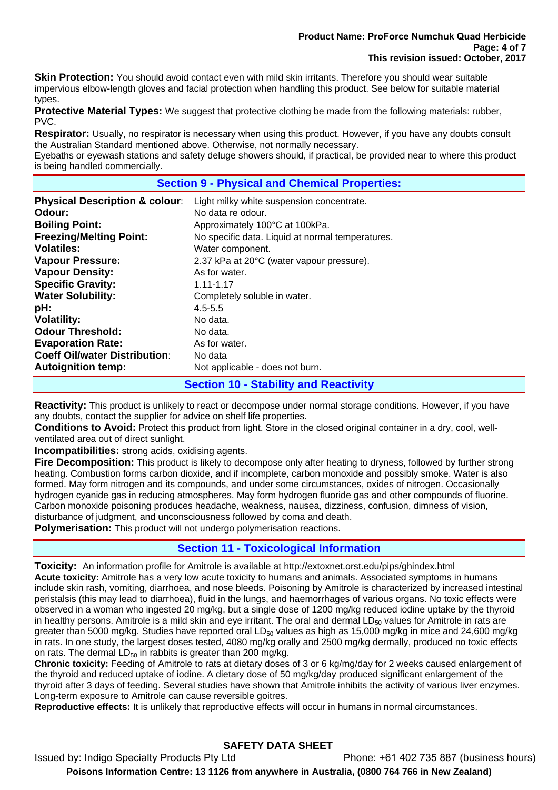**Skin Protection:** You should avoid contact even with mild skin irritants. Therefore you should wear suitable impervious elbow-length gloves and facial protection when handling this product. See below for suitable material types.

**Protective Material Types:** We suggest that protective clothing be made from the following materials: rubber, PVC.

**Respirator:** Usually, no respirator is necessary when using this product. However, if you have any doubts consult the Australian Standard mentioned above. Otherwise, not normally necessary. Eyebaths or eyewash stations and safety deluge showers should, if practical, be provided near to where this product is being handled commercially.

### **Section 9 - Physical and Chemical Properties:**

| <b>Physical Description &amp; colour:</b> | Light milky white suspension concentrate.        |
|-------------------------------------------|--------------------------------------------------|
| Odour:                                    | No data re odour.                                |
| <b>Boiling Point:</b>                     | Approximately 100°C at 100kPa.                   |
| <b>Freezing/Melting Point:</b>            | No specific data. Liquid at normal temperatures. |
| Volatiles:                                | Water component.                                 |
| <b>Vapour Pressure:</b>                   | 2.37 kPa at 20°C (water vapour pressure).        |
| <b>Vapour Density:</b>                    | As for water.                                    |
| <b>Specific Gravity:</b>                  | $1.11 - 1.17$                                    |
| <b>Water Solubility:</b>                  | Completely soluble in water.                     |
| pH:                                       | $4.5 - 5.5$                                      |
| <b>Volatility:</b>                        | No data.                                         |
| <b>Odour Threshold:</b>                   | No data.                                         |
| <b>Evaporation Rate:</b>                  | As for water.                                    |
| <b>Coeff Oil/water Distribution:</b>      | No data                                          |
| <b>Autoignition temp:</b>                 | Not applicable - does not burn.                  |
|                                           | <b>Section 10 - Stability and Reactivity</b>     |

**Reactivity:** This product is unlikely to react or decompose under normal storage conditions. However, if you have any doubts, contact the supplier for advice on shelf life properties.

**Conditions to Avoid:** Protect this product from light. Store in the closed original container in a dry, cool, wellventilated area out of direct sunlight.

**Incompatibilities:** strong acids, oxidising agents.

**Fire Decomposition:** This product is likely to decompose only after heating to dryness, followed by further strong heating. Combustion forms carbon dioxide, and if incomplete, carbon monoxide and possibly smoke. Water is also formed. May form nitrogen and its compounds, and under some circumstances, oxides of nitrogen. Occasionally hydrogen cyanide gas in reducing atmospheres. May form hydrogen fluoride gas and other compounds of fluorine. Carbon monoxide poisoning produces headache, weakness, nausea, dizziness, confusion, dimness of vision, disturbance of judgment, and unconsciousness followed by coma and death.

**Polymerisation:** This product will not undergo polymerisation reactions.

### **Section 11 - Toxicological Information**

**Toxicity:** An information profile for Amitrole is available at http://extoxnet.orst.edu/pips/ghindex.html **Acute toxicity:** Amitrole has a very low acute toxicity to humans and animals. Associated symptoms in humans include skin rash, vomiting, diarrhoea, and nose bleeds. Poisoning by Amitrole is characterized by increased intestinal peristalsis (this may lead to diarrhoea), fluid in the lungs, and haemorrhages of various organs. No toxic effects were observed in a woman who ingested 20 mg/kg, but a single dose of 1200 mg/kg reduced iodine uptake by the thyroid in healthy persons. Amitrole is a mild skin and eye irritant. The oral and dermal  $LD_{50}$  values for Amitrole in rats are greater than 5000 mg/kg. Studies have reported oral LD $_{50}$  values as high as 15,000 mg/kg in mice and 24,600 mg/kg in rats. In one study, the largest doses tested, 4080 mg/kg orally and 2500 mg/kg dermally, produced no toxic effects on rats. The dermal  $LD_{50}$  in rabbits is greater than 200 mg/kg.

**Chronic toxicity:** Feeding of Amitrole to rats at dietary doses of 3 or 6 kg/mg/day for 2 weeks caused enlargement of the thyroid and reduced uptake of iodine. A dietary dose of 50 mg/kg/day produced significant enlargement of the thyroid after 3 days of feeding. Several studies have shown that Amitrole inhibits the activity of various liver enzymes. Long-term exposure to Amitrole can cause reversible goitres.

**Reproductive effects:** It is unlikely that reproductive effects will occur in humans in normal circumstances.

# **SAFETY DATA SHEET**

Issued by: Indigo Specialty Products Pty Ltd Phone: +61 402 735 887 (business hours) **Poisons Information Centre: 13 1126 from anywhere in Australia, (0800 764 766 in New Zealand)**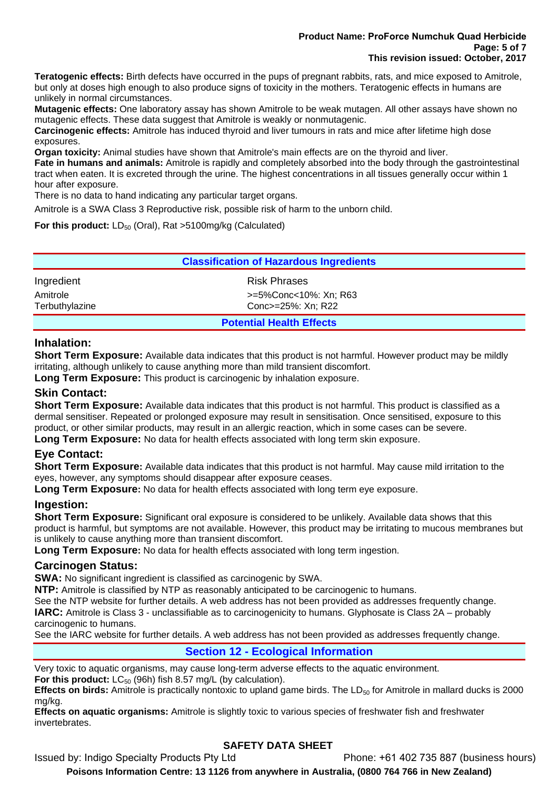#### **Product Name: ProForce Numchuk Quad Herbicide Page: 5 of 7 This revision issued: October, 2017**

**Teratogenic effects:** Birth defects have occurred in the pups of pregnant rabbits, rats, and mice exposed to Amitrole, but only at doses high enough to also produce signs of toxicity in the mothers. Teratogenic effects in humans are unlikely in normal circumstances.

**Mutagenic effects:** One laboratory assay has shown Amitrole to be weak mutagen. All other assays have shown no mutagenic effects. These data suggest that Amitrole is weakly or nonmutagenic.

**Carcinogenic effects:** Amitrole has induced thyroid and liver tumours in rats and mice after lifetime high dose exposures.

**Organ toxicity:** Animal studies have shown that Amitrole's main effects are on the thyroid and liver.

**Fate in humans and animals:** Amitrole is rapidly and completely absorbed into the body through the gastrointestinal tract when eaten. It is excreted through the urine. The highest concentrations in all tissues generally occur within 1 hour after exposure.

There is no data to hand indicating any particular target organs.

Amitrole is a SWA Class 3 Reproductive risk, possible risk of harm to the unborn child.

**For this product:** LD<sub>50</sub> (Oral), Rat >5100mg/kg (Calculated)

| <b>Classification of Hazardous Ingredients</b> |                       |  |
|------------------------------------------------|-----------------------|--|
| Ingredient                                     | <b>Risk Phrases</b>   |  |
| Amitrole                                       | >=5%Conc<10%: Xn; R63 |  |
| Terbuthylazine                                 | Conc>=25%: Xn; R22    |  |
| <b>Potential Health Effects</b>                |                       |  |

#### **Inhalation:**

**Short Term Exposure:** Available data indicates that this product is not harmful. However product may be mildly irritating, although unlikely to cause anything more than mild transient discomfort.

**Long Term Exposure:** This product is carcinogenic by inhalation exposure.

### **Skin Contact:**

**Short Term Exposure:** Available data indicates that this product is not harmful. This product is classified as a dermal sensitiser. Repeated or prolonged exposure may result in sensitisation. Once sensitised, exposure to this product, or other similar products, may result in an allergic reaction, which in some cases can be severe. **Long Term Exposure:** No data for health effects associated with long term skin exposure.

### **Eye Contact:**

**Short Term Exposure:** Available data indicates that this product is not harmful. May cause mild irritation to the eyes, however, any symptoms should disappear after exposure ceases.

**Long Term Exposure:** No data for health effects associated with long term eye exposure.

### **Ingestion:**

**Short Term Exposure:** Significant oral exposure is considered to be unlikely. Available data shows that this product is harmful, but symptoms are not available. However, this product may be irritating to mucous membranes but is unlikely to cause anything more than transient discomfort.

**Long Term Exposure:** No data for health effects associated with long term ingestion.

### **Carcinogen Status:**

**SWA:** No significant ingredient is classified as carcinogenic by SWA.

**NTP:** Amitrole is classified by NTP as reasonably anticipated to be carcinogenic to humans.

See the NTP website for further details. A web address has not been provided as addresses frequently change.

**IARC:** Amitrole is Class 3 - unclassifiable as to carcinogenicity to humans. Glyphosate is Class 2A – probably carcinogenic to humans.

See the IARC website for further details. A web address has not been provided as addresses frequently change.

# **Section 12 - Ecological Information**

Very toxic to aquatic organisms, may cause long-term adverse effects to the aquatic environment.

**For this product:** LC<sub>50</sub> (96h) fish 8.57 mg/L (by calculation).

**Effects on birds:** Amitrole is practically nontoxic to upland game birds. The LD<sub>50</sub> for Amitrole in mallard ducks is 2000 mg/kg.

**Effects on aquatic organisms:** Amitrole is slightly toxic to various species of freshwater fish and freshwater invertebrates.

# **SAFETY DATA SHEET**

Issued by: Indigo Specialty Products Pty Ltd Phone: +61 402 735 887 (business hours)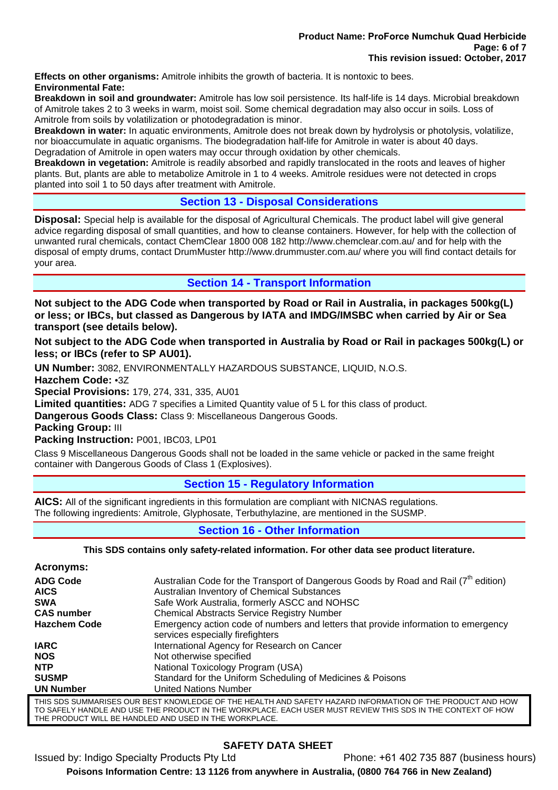**Effects on other organisms:** Amitrole inhibits the growth of bacteria. It is nontoxic to bees. **Environmental Fate:** 

**Breakdown in soil and groundwater:** Amitrole has low soil persistence. Its half-life is 14 days. Microbial breakdown of Amitrole takes 2 to 3 weeks in warm, moist soil. Some chemical degradation may also occur in soils. Loss of Amitrole from soils by volatilization or photodegradation is minor.

**Breakdown in water:** In aquatic environments, Amitrole does not break down by hydrolysis or photolysis, volatilize, nor bioaccumulate in aquatic organisms. The biodegradation half-life for Amitrole in water is about 40 days. Degradation of Amitrole in open waters may occur through oxidation by other chemicals.

**Breakdown in vegetation:** Amitrole is readily absorbed and rapidly translocated in the roots and leaves of higher plants. But, plants are able to metabolize Amitrole in 1 to 4 weeks. Amitrole residues were not detected in crops planted into soil 1 to 50 days after treatment with Amitrole.

# **Section 13 - Disposal Considerations**

**Disposal:** Special help is available for the disposal of Agricultural Chemicals. The product label will give general advice regarding disposal of small quantities, and how to cleanse containers. However, for help with the collection of unwanted rural chemicals, contact ChemClear 1800 008 182 http://www.chemclear.com.au/ and for help with the disposal of empty drums, contact DrumMuster http://www.drummuster.com.au/ where you will find contact details for your area.

**Section 14 - Transport Information** 

**Not subject to the ADG Code when transported by Road or Rail in Australia, in packages 500kg(L) or less; or IBCs, but classed as Dangerous by IATA and IMDG/IMSBC when carried by Air or Sea transport (see details below).** 

**Not subject to the ADG Code when transported in Australia by Road or Rail in packages 500kg(L) or less; or IBCs (refer to SP AU01).** 

**UN Number:** 3082, ENVIRONMENTALLY HAZARDOUS SUBSTANCE, LIQUID, N.O.S. **Hazchem Code:** •3Z

**Special Provisions:** 179, 274, 331, 335, AU01

**Limited quantities:** ADG 7 specifies a Limited Quantity value of 5 L for this class of product.

**Dangerous Goods Class:** Class 9: Miscellaneous Dangerous Goods.

**Packing Group:** III

**Packing Instruction:** P001, IBC03, LP01

Class 9 Miscellaneous Dangerous Goods shall not be loaded in the same vehicle or packed in the same freight container with Dangerous Goods of Class 1 (Explosives).

# **Section 15 - Regulatory Information**

**AICS:** All of the significant ingredients in this formulation are compliant with NICNAS regulations. The following ingredients: Amitrole, Glyphosate, Terbuthylazine, are mentioned in the SUSMP.

# **Section 16 - Other Information**

**This SDS contains only safety-related information. For other data see product literature.** 

| Acronyms:           |                                                                                                                        |
|---------------------|------------------------------------------------------------------------------------------------------------------------|
| <b>ADG Code</b>     | Australian Code for the Transport of Dangerous Goods by Road and Rail $(7th$ edition)                                  |
| <b>AICS</b>         | Australian Inventory of Chemical Substances                                                                            |
| <b>SWA</b>          | Safe Work Australia, formerly ASCC and NOHSC                                                                           |
| <b>CAS number</b>   | <b>Chemical Abstracts Service Registry Number</b>                                                                      |
| <b>Hazchem Code</b> | Emergency action code of numbers and letters that provide information to emergency<br>services especially firefighters |
| <b>IARC</b>         | International Agency for Research on Cancer                                                                            |
| <b>NOS</b>          | Not otherwise specified                                                                                                |
| <b>NTP</b>          | National Toxicology Program (USA)                                                                                      |
| <b>SUSMP</b>        | Standard for the Uniform Scheduling of Medicines & Poisons                                                             |
| <b>UN Number</b>    | <b>United Nations Number</b>                                                                                           |
|                     | THIS SDS SUMMARISES OUR BEST KNOWLEDGE OF THE HEALTH AND SAFETY HAZARD INFORMATION OF THE PRODUCT AND HOW              |

THIS SDS SUMMARISES OUR BEST KNOWLEDGE OF THE HEALTH AND SAFETY HAZARD INFORMATION OF THE PRODUCT AND HOW TO SAFELY HANDLE AND USE THE PRODUCT IN THE WORKPLACE. EACH USER MUST REVIEW THIS SDS IN THE CONTEXT OF HOW THE PRODUCT WILL BE HANDLED AND USED IN THE WORKPLACE.

# **SAFETY DATA SHEET**

Issued by: Indigo Specialty Products Pty Ltd Phone: +61 402 735 887 (business hours) **Poisons Information Centre: 13 1126 from anywhere in Australia, (0800 764 766 in New Zealand)**